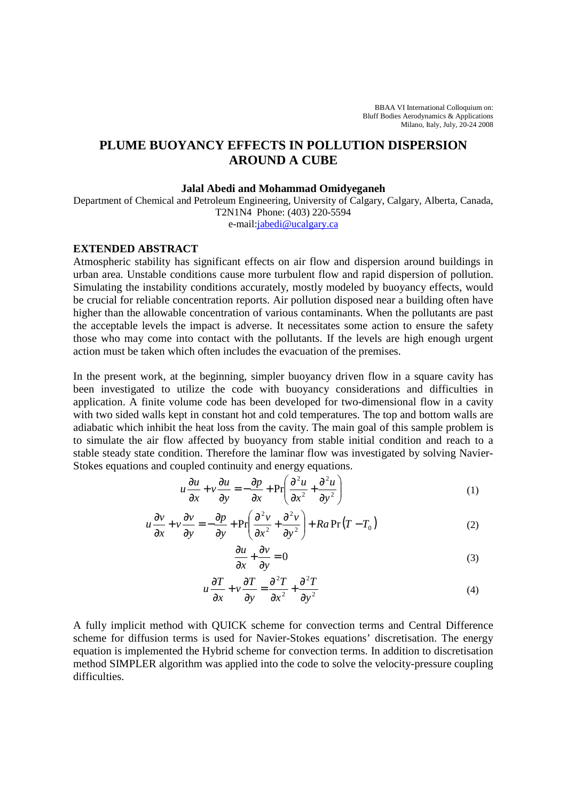BBAA VI International Colloquium on: Bluff Bodies Aerodynamics & Applications Milano, Italy, July, 20-24 2008

## **PLUME BUOYANCY EFFECTS IN POLLUTION DISPERSION AROUND A CUBE**

## **Jalal Abedi and Mohammad Omidyeganeh**

Department of Chemical and Petroleum Engineering, University of Calgary, Calgary, Alberta, Canada, T2N1N4 Phone: (403) 220-5594 e-mail:jabedi@ucalgary.ca

## **EXTENDED ABSTRACT**

Atmospheric stability has significant effects on air flow and dispersion around buildings in urban area. Unstable conditions cause more turbulent flow and rapid dispersion of pollution. Simulating the instability conditions accurately, mostly modeled by buoyancy effects, would be crucial for reliable concentration reports. Air pollution disposed near a building often have higher than the allowable concentration of various contaminants. When the pollutants are past the acceptable levels the impact is adverse. It necessitates some action to ensure the safety those who may come into contact with the pollutants. If the levels are high enough urgent action must be taken which often includes the evacuation of the premises.

In the present work, at the beginning, simpler buoyancy driven flow in a square cavity has been investigated to utilize the code with buoyancy considerations and difficulties in application. A finite volume code has been developed for two-dimensional flow in a cavity with two sided walls kept in constant hot and cold temperatures. The top and bottom walls are adiabatic which inhibit the heat loss from the cavity. The main goal of this sample problem is to simulate the air flow affected by buoyancy from stable initial condition and reach to a stable steady state condition. Therefore the laminar flow was investigated by solving Navier-Stokes equations and coupled continuity and energy equations.

$$
u\frac{\partial u}{\partial x} + v\frac{\partial u}{\partial y} = -\frac{\partial p}{\partial x} + \Pr\left(\frac{\partial^2 u}{\partial x^2} + \frac{\partial^2 u}{\partial y^2}\right)
$$
 (1)

$$
u\frac{\partial v}{\partial x} + v\frac{\partial v}{\partial y} = -\frac{\partial p}{\partial y} + \Pr\left(\frac{\partial^2 v}{\partial x^2} + \frac{\partial^2 v}{\partial y^2}\right) + Ra \Pr(T - T_0)
$$
 (2)

$$
\frac{\partial u}{\partial x} + \frac{\partial v}{\partial y} = 0\tag{3}
$$

$$
u\frac{\partial T}{\partial x} + v\frac{\partial T}{\partial y} = \frac{\partial^2 T}{\partial x^2} + \frac{\partial^2 T}{\partial y^2}
$$
 (4)

A fully implicit method with QUICK scheme for convection terms and Central Difference scheme for diffusion terms is used for Navier-Stokes equations' discretisation. The energy equation is implemented the Hybrid scheme for convection terms. In addition to discretisation method SIMPLER algorithm was applied into the code to solve the velocity-pressure coupling difficulties.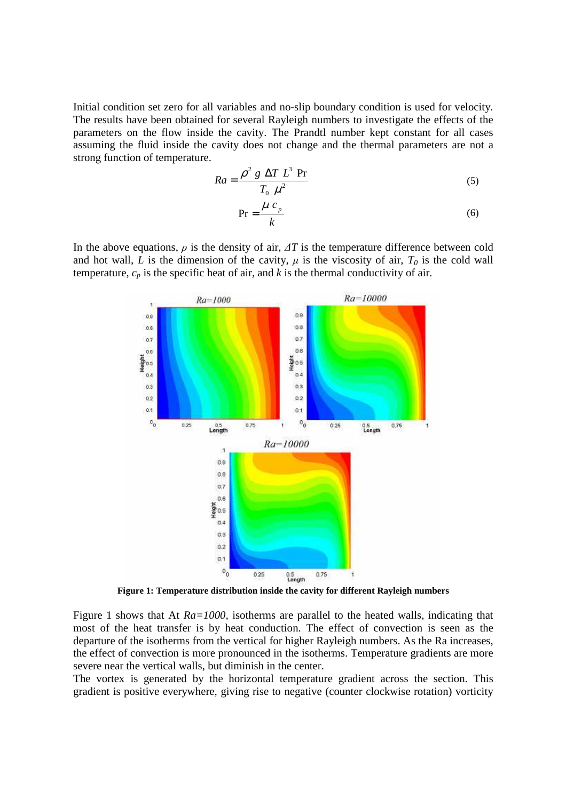Initial condition set zero for all variables and no-slip boundary condition is used for velocity. The results have been obtained for several Rayleigh numbers to investigate the effects of the parameters on the flow inside the cavity. The Prandtl number kept constant for all cases assuming the fluid inside the cavity does not change and the thermal parameters are not a strong function of temperature.

$$
Ra = \frac{\rho^2 g \Delta T L^3 \text{ Pr}}{T_0 \mu^2}
$$
 (5)

$$
Pr = \frac{\mu c_p}{k} \tag{6}
$$

In the above equations,  $\rho$  is the density of air,  $\Delta T$  is the temperature difference between cold and hot wall, *L* is the dimension of the cavity,  $\mu$  is the viscosity of air,  $T_0$  is the cold wall temperature,  $c_p$  is the specific heat of air, and  $k$  is the thermal conductivity of air.



**Figure 1: Temperature distribution inside the cavity for different Rayleigh numbers** 

Figure 1 shows that At *Ra=1000*, isotherms are parallel to the heated walls, indicating that most of the heat transfer is by heat conduction. The effect of convection is seen as the departure of the isotherms from the vertical for higher Rayleigh numbers. As the Ra increases, the effect of convection is more pronounced in the isotherms. Temperature gradients are more severe near the vertical walls, but diminish in the center.

The vortex is generated by the horizontal temperature gradient across the section. This gradient is positive everywhere, giving rise to negative (counter clockwise rotation) vorticity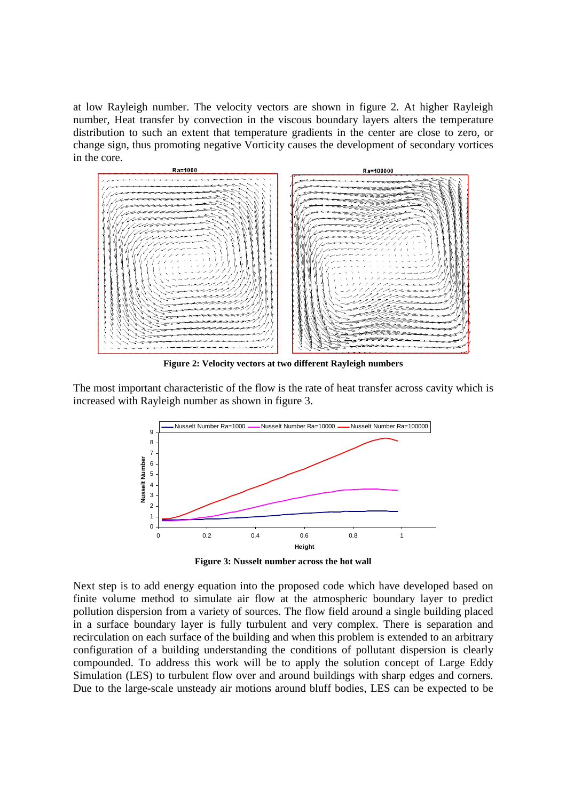at low Rayleigh number. The velocity vectors are shown in figure 2. At higher Rayleigh number, Heat transfer by convection in the viscous boundary layers alters the temperature distribution to such an extent that temperature gradients in the center are close to zero, or change sign, thus promoting negative Vorticity causes the development of secondary vortices in the core.



**Figure 2: Velocity vectors at two different Rayleigh numbers** 

The most important characteristic of the flow is the rate of heat transfer across cavity which is increased with Rayleigh number as shown in figure 3.



**Figure 3: Nusselt number across the hot wall** 

Next step is to add energy equation into the proposed code which have developed based on finite volume method to simulate air flow at the atmospheric boundary layer to predict pollution dispersion from a variety of sources. The flow field around a single building placed in a surface boundary layer is fully turbulent and very complex. There is separation and recirculation on each surface of the building and when this problem is extended to an arbitrary configuration of a building understanding the conditions of pollutant dispersion is clearly compounded. To address this work will be to apply the solution concept of Large Eddy Simulation (LES) to turbulent flow over and around buildings with sharp edges and corners. Due to the large-scale unsteady air motions around bluff bodies, LES can be expected to be